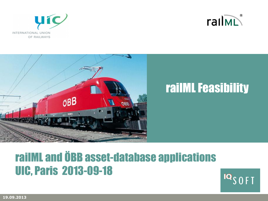





# railML and ÖBB asset-database applications UIC, Paris 2013-09-18

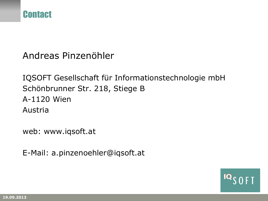

Andreas Pinzenöhler

IQSOFT Gesellschaft für Informationstechnologie mbH Schönbrunner Str. 218, Stiege B A-1120 Wien Austria

web: www.iqsoft.at

E-Mail: a.pinzenoehler@iqsoft.at

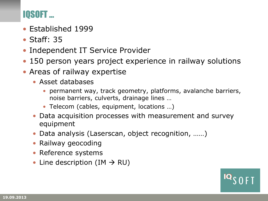## IQSOFT …

- Established 1999
- Staff: 35
- Independent IT Service Provider
- 150 person years project experience in railway solutions
- Areas of railway expertise
	- Asset databases
		- permanent way, track geometry, platforms, avalanche barriers, noise barriers, culverts, drainage lines …
		- Telecom (cables, equipment, locations …)
	- Data acquisition processes with measurement and survey equipment
	- Data analysis (Laserscan, object recognition, ……)
	- Railway geocoding
	- Reference systems
	- Line description (IM  $\rightarrow$  RU)

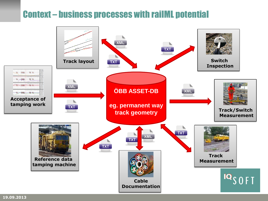## Context – business processes with railML potential

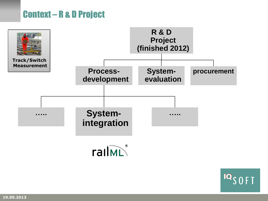## Context – R & D Project





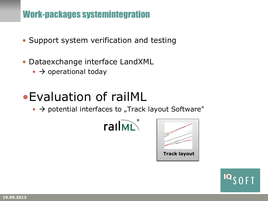## Work-packages systemintegration

- Support system verification and testing
- Dataexchange interface LandXML
	- $\bullet$   $\rightarrow$  operational today

# •Evaluation of railML

 $\bullet$   $\rightarrow$  potential interfaces to "Track layout Software"





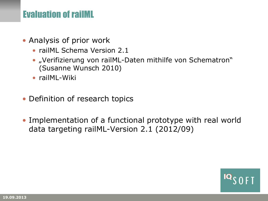#### **Evaluation of railML**

- Analysis of prior work
	- railML Schema Version 2.1
	- "Verifizierung von railML-Daten mithilfe von Schematron" (Susanne Wunsch 2010)
	- railML-Wiki
- Definition of research topics
- Implementation of a functional prototype with real world data targeting railML-Version 2.1 (2012/09)

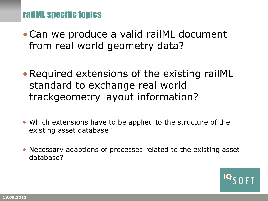#### railML specific topics

- •Can we produce a valid railML document from real world geometry data?
- Required extensions of the existing railML standard to exchange real world trackgeometry layout information?
- Which extensions have to be applied to the structure of the existing asset database?
- Necessary adaptions of processes related to the existing asset database?

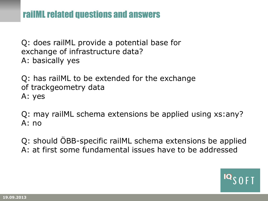Q: does railML provide a potential base for exchange of infrastructure data? A: basically yes

Q: has railML to be extended for the exchange of trackgeometry data A: yes

Q: may railML schema extensions be applied using xs:any? A: no

Q: should ÖBB-specific railML schema extensions be applied A: at first some fundamental issues have to be addressed

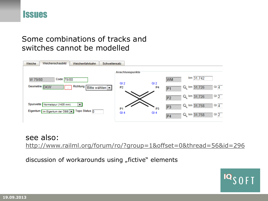

#### Some combinations of tracks and switches cannot be modelled



#### see also:

<http://www.railml.org/forum/ro/?group=1&offset=0&thread=56&id=296>

discussion of workarounds using "fictive" elements

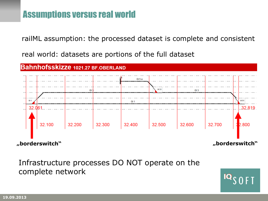railML assumption: the processed dataset is complete and consistent

real world: datasets are portions of the full dataset



#### Infrastructure processes DO NOT operate on the complete network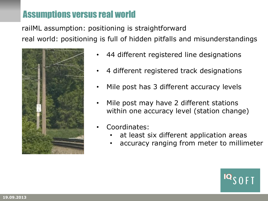railML assumption: positioning is straightforward real world: positioning is full of hidden pitfalls and misunderstandings



- 44 different registered line designations
- 4 different registered track designations
- Mile post has 3 different accuracy levels
- Mile post may have 2 different stations within one accuracy level (station change)
- Coordinates:
	- at least six different application areas
	- accuracy ranging from meter to millimeter

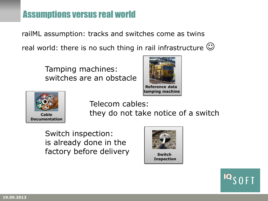railML assumption: tracks and switches come as twins real world: there is no such thing in rail infrastructure  $\mathbb{C}$ 

> Tamping machines: switches are an obstacle





Telecom cables: they do not take notice of a switch

Switch inspection: is already done in the factory before delivery **Switch** 



**Inspection**

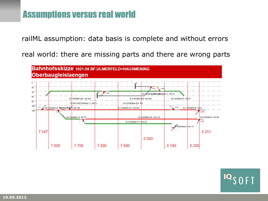railML assumption: data basis is complete and without errors

real world: there are missing parts and there are wrong parts

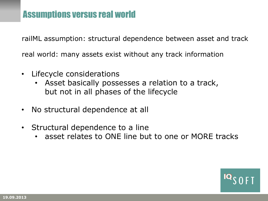railML assumption: structural dependence between asset and track real world: many assets exist without any track information

- Lifecycle considerations
	- Asset basically possesses a relation to a track, but not in all phases of the lifecycle
- No structural dependence at all
- Structural dependence to a line
	- asset relates to ONE line but to one or MORE tracks

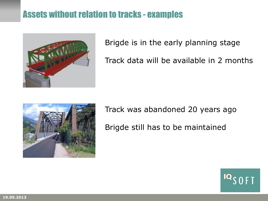## Assets without relation to tracks - examples



Brigde is in the early planning stage

Track data will be available in 2 months



Track was abandoned 20 years ago Brigde still has to be maintained

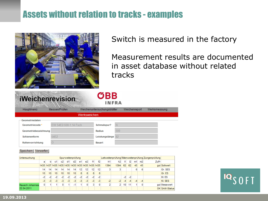## Assets without relation to tracks - examples



Switch is measured in the factory

Measurement results are documented in asset database without related tracks

#### **iWeichenrevisio**

| m | <b>OBB</b> |
|---|------------|
|   | INFRA      |

| Hauptmenü                  | Messen/Prüfen         |              | Weichenuntersuchungsblätter |     | Weichenreport | Werksmessung |  |
|----------------------------|-----------------------|--------------|-----------------------------|-----|---------------|--------------|--|
|                            |                       | Werksweichen |                             |     |               |              |  |
| Geometriedaten             |                       |              |                             |     |               |              |  |
| Geometriecode <sup>*</sup> | EW 54E2-500-1:14 Fsch |              | Schmalspur?                 |     |               |              |  |
| Geometriebezeichnung       |                       |              | Radius                      | 500 |               |              |  |
| Schienenform               | 54E2                  |              | Leistungslänge              | 82  |               |              |  |
| Rollenvorrichtung          |                       |              | Bauart                      |     |               |              |  |

#### Speichern | Verwerfen

| Untersuchung    | Spurweitenprüfung |                 |                 |                 |                 |      |      |      |      | Leitweitenprüfung Rillenweitenprüfung Zungenprüfung |                |      |      |      |    |                |      |               |
|-----------------|-------------------|-----------------|-----------------|-----------------|-----------------|------|------|------|------|-----------------------------------------------------|----------------|------|------|------|----|----------------|------|---------------|
|                 | а                 | ы               | c1              | c2              | d1              | d2   | le1  | e2   | f1   | f2                                                  | h <sub>1</sub> | h2   | 11   | I2   | m1 | m <sub>2</sub> | ZuPr |               |
|                 |                   |                 |                 |                 |                 |      |      |      |      |                                                     | 1394           | 1394 | 62   | 62   | 45 | 45             |      | gut Sollwert  |
|                 | 14                | 14              | 14              | 14              | 14              | 14   | 12   | 12   | 12   | 12                                                  |                |      |      |      | 6  |                |      | Gr. SES       |
|                 | 10                | 10 <sup>1</sup> | 10 <sup>1</sup> | 10 <sup>1</sup> | 10 <sup>°</sup> | 10   | 8    | 8    | 8    | 8                                                   |                |      |      |      |    |                |      | Gr. ES        |
|                 | $-2$              | -2              | -2              | -2              |                 | -2   | $-2$ | $-2$ | $-2$ | $-2$                                                |                |      | $-2$ | $-2$ |    |                |      | KI. ES        |
|                 | $-3$              | $-3$            | $-3$            | $-3$            | $-3$            | $-3$ | $-3$ | $-3$ | $-3$ | $-3$                                                |                |      |      |      |    |                |      | KI. SES       |
| Rausch Johannes | 0                 |                 |                 |                 |                 | $-1$ |      |      | 3    | 0                                                   |                | 2    | 10   | 11   |    |                |      | gut Messwert  |
| 22.04.2011      |                   |                 |                 |                 |                 |      |      |      |      |                                                     |                |      |      |      |    |                |      | OK SAM-Status |
|                 |                   |                 |                 |                 |                 |      |      |      |      |                                                     |                |      |      |      |    |                |      |               |

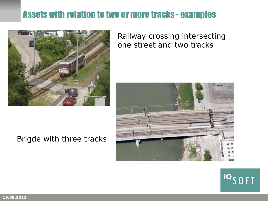## Assets with relation to two or more tracks - examples



#### Railway crossing intersecting one street and two tracks





#### Brigde with three tracks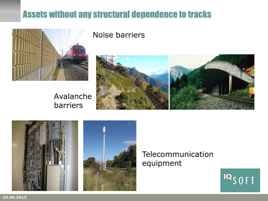## Assets without any structural dependence to tracks



#### Noise barriers



#### Avalanche barriers





#### Telecommunication equipment



**19.09.2013**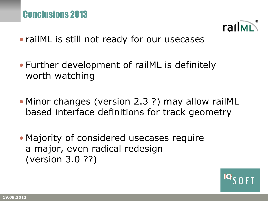

- railML is still not ready for our usecases
- Further development of railML is definitely worth watching
- Minor changes (version 2.3 ?) may allow railML based interface definitions for track geometry
- Majority of considered usecases require a major, even radical redesign (version 3.0 ??)